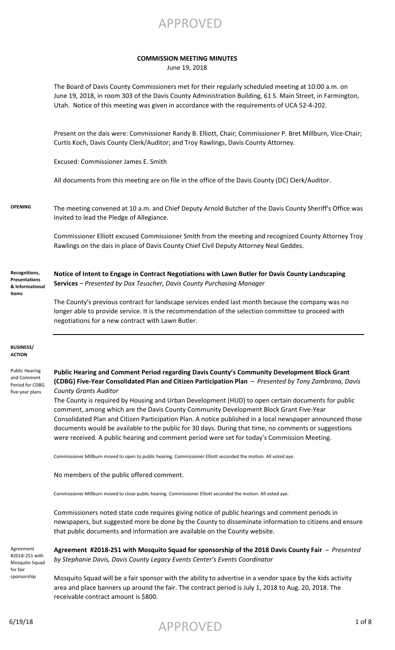APPROVED

### **COMMISSION MEETING MINUTES**

June 19, 2018

The Board of Davis County Commissioners met for their regularly scheduled meeting at 10:00 a.m. on June 19, 2018, in room 303 of the Davis County Administration Building, 61 S. Main Street, in Farmington, Utah. Notice of this meeting was given in accordance with the requirements of UCA 52-4-202.

Present on the dais were: Commissioner Randy B. Elliott, Chair; Commissioner P. Bret Millburn, Vice-Chair; Curtis Koch, Davis County Clerk/Auditor; and Troy Rawlings, Davis County Attorney.

Excused: Commissioner James E. Smith

All documents from this meeting are on file in the office of the Davis County (DC) Clerk/Auditor.

**OPENING** The meeting convened at 10 a.m. and Chief Deputy Arnold Butcher of the Davis County Sheriff's Office was invited to lead the Pledge of Allegiance.

> Commissioner Elliott excused Commissioner Smith from the meeting and recognized County Attorney Troy Rawlings on the dais in place of Davis County Chief Civil Deputy Attorney Neal Geddes.

**Recognitions, Presentations & Informational Items**

**Notice of Intent to Engage in Contract Negotiations with Lawn Butler for Davis County Landscaping Services** *– Presented by Dax Teuscher, Davis County Purchasing Manager*

The County's previous contract for landscape services ended last month because the company was no longer able to provide service. It is the recommendation of the selection committee to proceed with negotiations for a new contract with Lawn Butler.

### **BUSINESS/ ACTION**

Public Hearing and Comment Period for CDBG five-year plans

**Public Hearing and Comment Period regarding Davis County's Community Development Block Grant (CDBG) Five-Year Consolidated Plan and Citizen Participation Plan** – *Presented by Tony Zambrana, Davis County Grants Auditor*

The County is required by Housing and Urban Development (HUD) to open certain documents for public comment, among which are the Davis County Community Development Block Grant Five-Year Consolidated Plan and Citizen Participation Plan. A notice published in a local newspaper announced those documents would be available to the public for 30 days. During that time, no comments or suggestions were received. A public hearing and comment period were set for today's Commission Meeting.

Commissioner Millburn moved to open to public hearing. Commissioner Elliott seconded the motion. All voted aye.

No members of the public offered comment.

Commissioner Millburn moved to close public hearing. Commissioner Elliott seconded the motion. All voted aye.

Commissioners noted state code requires giving notice of public hearings and comment periods in newspapers, but suggested more be done by the County to disseminate information to citizens and ensure that public documents and information are available on the County website.

Agreement #2018-251 with Mosquito Squad for fair sponsorship

**Agreement #2018-251 with Mosquito Squad for sponsorship of the 2018 Davis County Fair** – *Presented by Stephanie Davis, Davis County Legacy Events Center's Events Coordinator*

Mosquito Squad will be a fair sponsor with the ability to advertise in a vendor space by the kids activity area and place banners up around the fair. The contract period is July 1, 2018 to Aug. 20, 2018. The receivable contract amount is \$800.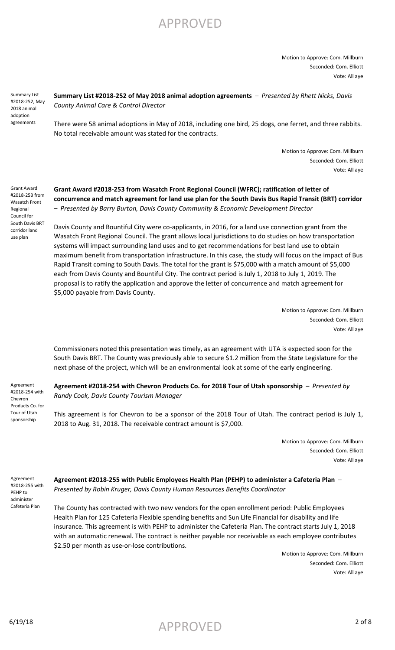# APPROVED

Motion to Approve: Com. Millburn Seconded: Com. Elliott Vote: All aye

Summary List #2018-252, May 2018 animal adoption agreements

**Summary List #2018-252 of May 2018 animal adoption agreements** – *Presented by Rhett Nicks, Davis County Animal Care & Control Director*

There were 58 animal adoptions in May of 2018, including one bird, 25 dogs, one ferret, and three rabbits. No total receivable amount was stated for the contracts.

> Motion to Approve: Com. Millburn Seconded: Com. Elliott Vote: All aye

Grant Award #2018-253 from Wasatch Front Regional Council for South Davis BRT corridor land use plan

**Grant Award #2018-253 from Wasatch Front Regional Council (WFRC); ratification of letter of concurrence and match agreement for land use plan for the South Davis Bus Rapid Transit (BRT) corridor**  – *Presented by Barry Burton, Davis County Community & Economic Development Director*

Davis County and Bountiful City were co-applicants, in 2016, for a land use connection grant from the Wasatch Front Regional Council. The grant allows local jurisdictions to do studies on how transportation systems will impact surrounding land uses and to get recommendations for best land use to obtain maximum benefit from transportation infrastructure. In this case, the study will focus on the impact of Bus Rapid Transit coming to South Davis. The total for the grant is \$75,000 with a match amount of \$5,000 each from Davis County and Bountiful City. The contract period is July 1, 2018 to July 1, 2019. The proposal is to ratify the application and approve the letter of concurrence and match agreement for \$5,000 payable from Davis County.

> Motion to Approve: Com. Millburn Seconded: Com. Elliott Vote: All aye

Commissioners noted this presentation was timely, as an agreement with UTA is expected soon for the South Davis BRT. The County was previously able to secure \$1.2 million from the State Legislature for the next phase of the project, which will be an environmental look at some of the early engineering.

Agreement #2018-254 with Chevron Products Co. for Tour of Utah sponsorship

## **Agreement #2018-254 with Chevron Products Co. for 2018 Tour of Utah sponsorship** – *Presented by Randy Cook, Davis County Tourism Manager*

This agreement is for Chevron to be a sponsor of the 2018 Tour of Utah. The contract period is July 1, 2018 to Aug. 31, 2018. The receivable contract amount is \$7,000.

> Motion to Approve: Com. Millburn Seconded: Com. Elliott Vote: All aye

Agreement #2018-255 with PEHP to administer Cafeteria Plan

**Agreement #2018-255 with Public Employees Health Plan (PEHP) to administer a Cafeteria Plan** – *Presented by Robin Kruger, Davis County Human Resources Benefits Coordinator*

The County has contracted with two new vendors for the open enrollment period: Public Employees Health Plan for 125 Cafeteria Flexible spending benefits and Sun Life Financial for disability and life insurance. This agreement is with PEHP to administer the Cafeteria Plan. The contract starts July 1, 2018 with an automatic renewal. The contract is neither payable nor receivable as each employee contributes \$2.50 per month as use-or-lose contributions.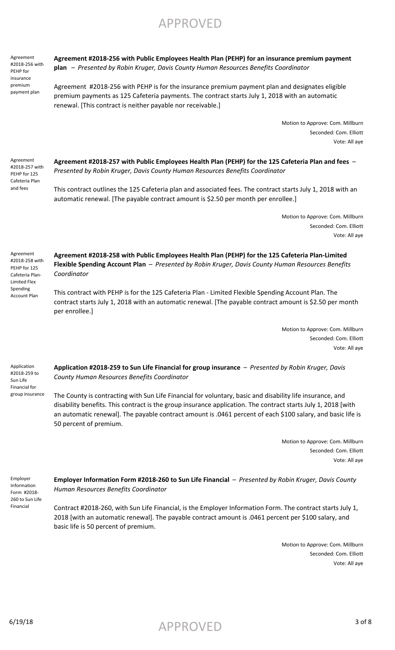**plan** – *Presented by Robin Kruger, Davis County Human Resources Benefits Coordinator*

APPROVED

Agreement #2018-256 with PEHP is for the insurance premium payment plan and designates eligible premium payments as 125 Cafeteria payments. The contract starts July 1, 2018 with an automatic renewal. [This contract is neither payable nor receivable.]

**Agreement #2018-256 with Public Employees Health Plan (PEHP) for an insurance premium payment** 

Motion to Approve: Com. Millburn Seconded: Com. Elliott Vote: All aye

Agreement #2018-257 with PEHP for 125 Cafeteria Plan and fees

Agreement #2018-256 with PEHP for insurance premium payment plan

> **Agreement #2018-257 with Public Employees Health Plan (PEHP) for the 125 Cafeteria Plan and fees** – *Presented by Robin Kruger, Davis County Human Resources Benefits Coordinator*

> This contract outlines the 125 Cafeteria plan and associated fees. The contract starts July 1, 2018 with an automatic renewal. [The payable contract amount is \$2.50 per month per enrollee.]

> > Motion to Approve: Com. Millburn Seconded: Com. Elliott Vote: All aye

Agreement #2018-258 with PEHP for 125 Cafeteria Plan-Limited Flex Spending Account Plan

**Agreement #2018-258 with Public Employees Health Plan (PEHP) for the 125 Cafeteria Plan-Limited Flexible Spending Account Plan** – *Presented by Robin Kruger, Davis County Human Resources Benefits Coordinator*

This contract with PEHP is for the 125 Cafeteria Plan - Limited Flexible Spending Account Plan. The contract starts July 1, 2018 with an automatic renewal. [The payable contract amount is \$2.50 per month per enrollee.]

> Motion to Approve: Com. Millburn Seconded: Com. Elliott Vote: All aye

Application #2018-259 to Sun Life Financial for group insurance

**Application #2018-259 to Sun Life Financial for group insurance** – *Presented by Robin Kruger, Davis County Human Resources Benefits Coordinator*

The County is contracting with Sun Life Financial for voluntary, basic and disability life insurance, and disability benefits. This contract is the group insurance application. The contract starts July 1, 2018 [with an automatic renewal]. The payable contract amount is .0461 percent of each \$100 salary, and basic life is 50 percent of premium.

> Motion to Approve: Com. Millburn Seconded: Com. Elliott Vote: All aye

Employer Information Form #2018- 260 to Sun Life Financial

**Employer Information Form #2018-260 to Sun Life Financial** – *Presented by Robin Kruger, Davis County Human Resources Benefits Coordinator*

Contract #2018-260, with Sun Life Financial, is the Employer Information Form. The contract starts July 1, 2018 [with an automatic renewal]. The payable contract amount is .0461 percent per \$100 salary, and basic life is 50 percent of premium.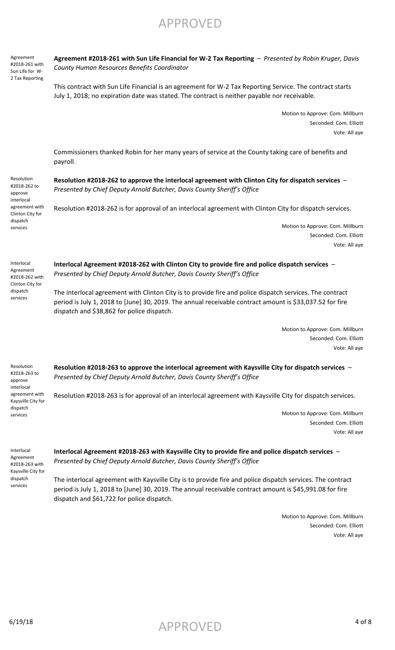APPROVED

Agreement #2018-261 with Sun Life for W-2 Tax Reporting **Agreement #2018-261 with Sun Life Financial for W-2 Tax Reporting** – *Presented by Robin Kruger, Davis County Human Resources Benefits Coordinator*

This contract with Sun Life Financial is an agreement for W-2 Tax Reporting Service. The contract starts July 1, 2018; no expiration date was stated. The contract is neither payable nor receivable.

> Motion to Approve: Com. Millburn Seconded: Com. Elliott Vote: All aye

Commissioners thanked Robin for her many years of service at the County taking care of benefits and payroll.

**Resolution #2018-262 to approve the interlocal agreement with Clinton City for dispatch services** – *Presented by Chief Deputy Arnold Butcher, Davis County Sheriff's Office*

Resolution #2018-262 is for approval of an interlocal agreement with Clinton City for dispatch services.

Motion to Approve: Com. Millburn Seconded: Com. Elliott Vote: All aye

Interlocal Agreement #2018-262 with Clinton City for dispatch services

Resolution #2018-262 to approve interlocal agreement with Clinton City for dispatch services

> **Interlocal Agreement #2018-262 with Clinton City to provide fire and police dispatch services** – *Presented by Chief Deputy Arnold Butcher, Davis County Sheriff's Office*

The interlocal agreement with Clinton City is to provide fire and police dispatch services. The contract period is July 1, 2018 to [June] 30, 2019. The annual receivable contract amount is \$33,037.52 for fire dispatch and \$38,862 for police dispatch.

> Motion to Approve: Com. Millburn Seconded: Com. Elliott Vote: All aye

Resolution #2018-263 to approve interlocal agreement with Kaysville City for dispatch

services

**Resolution #2018-263 to approve the interlocal agreement with Kaysville City for dispatch services** – *Presented by Chief Deputy Arnold Butcher, Davis County Sheriff's Office*

Resolution #2018-263 is for approval of an interlocal agreement with Kaysville City for dispatch services.

Motion to Approve: Com. Millburn Seconded: Com. Elliott Vote: All aye

Interlocal Agreement #2018-263 with Kaysville City for dispatch services

**Interlocal Agreement #2018-263 with Kaysville City to provide fire and police dispatch services** – *Presented by Chief Deputy Arnold Butcher, Davis County Sheriff's Office*

The interlocal agreement with Kaysville City is to provide fire and police dispatch services. The contract period is July 1, 2018 to [June] 30, 2019. The annual receivable contract amount is \$45,991.08 for fire dispatch and \$61,722 for police dispatch.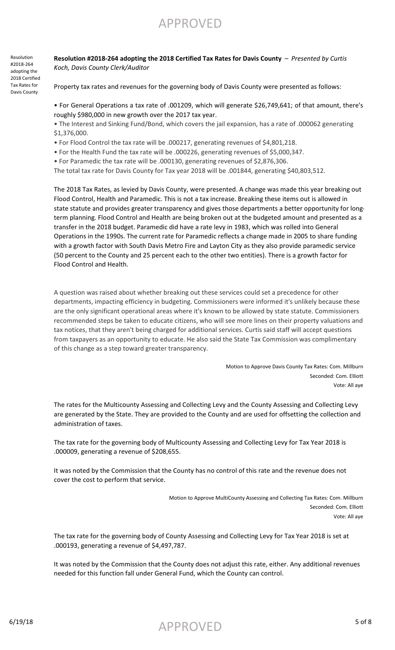APPROVED

Resolution #2018-264 adopting the 2018 Certified Tax Rates for Davis County

**Resolution #2018-264 adopting the 2018 Certified Tax Rates for Davis County** – *Presented by Curtis Koch, Davis County Clerk/Auditor*

Property tax rates and revenues for the governing body of Davis County were presented as follows:

• For General Operations a tax rate of .001209, which will generate \$26,749,641; of that amount, there's roughly \$980,000 in new growth over the 2017 tax year.

• The Interest and Sinking Fund/Bond, which covers the jail expansion, has a rate of .000062 generating \$1,376,000.

• For Flood Control the tax rate will be .000217, generating revenues of \$4,801,218.

• For the Health Fund the tax rate will be .000226, generating revenues of \$5,000,347.

• For Paramedic the tax rate will be .000130, generating revenues of \$2,876,306.

The total tax rate for Davis County for Tax year 2018 will be .001844, generating \$40,803,512.

The 2018 Tax Rates, as levied by Davis County, were presented. A change was made this year breaking out Flood Control, Health and Paramedic. This is not a tax increase. Breaking these items out is allowed in state statute and provides greater transparency and gives those departments a better opportunity for longterm planning. Flood Control and Health are being broken out at the budgeted amount and presented as a transfer in the 2018 budget. Paramedic did have a rate levy in 1983, which was rolled into General Operations in the 1990s. The current rate for Paramedic reflects a change made in 2005 to share funding with a growth factor with South Davis Metro Fire and Layton City as they also provide paramedic service (50 percent to the County and 25 percent each to the other two entities). There is a growth factor for Flood Control and Health.

A question was raised about whether breaking out these services could set a precedence for other departments, impacting efficiency in budgeting. Commissioners were informed it's unlikely because these are the only significant operational areas where it's known to be allowed by state statute. Commissioners recommended steps be taken to educate citizens, who will see more lines on their property valuations and tax notices, that they aren't being charged for additional services. Curtis said staff will accept questions from taxpayers as an opportunity to educate. He also said the State Tax Commission was complimentary of this change as a step toward greater transparency.

> Motion to Approve Davis County Tax Rates: Com. Millburn Seconded: Com. Elliott Vote: All aye

The rates for the Multicounty Assessing and Collecting Levy and the County Assessing and Collecting Levy are generated by the State. They are provided to the County and are used for offsetting the collection and administration of taxes.

The tax rate for the governing body of Multicounty Assessing and Collecting Levy for Tax Year 2018 is .000009, generating a revenue of \$208,655.

It was noted by the Commission that the County has no control of this rate and the revenue does not cover the cost to perform that service.

> Motion to Approve MultiCounty Assessing and Collecting Tax Rates: Com. Millburn Seconded: Com. Elliott Vote: All aye

The tax rate for the governing body of County Assessing and Collecting Levy for Tax Year 2018 is set at .000193, generating a revenue of \$4,497,787.

It was noted by the Commission that the County does not adjust this rate, either. Any additional revenues needed for this function fall under General Fund, which the County can control.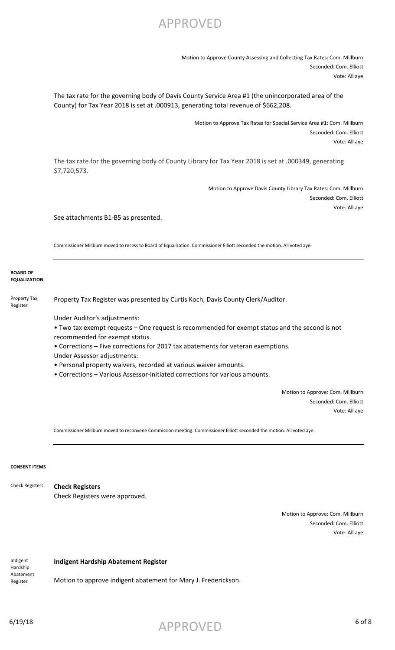## APPROVED

Motion to Approve County Assessing and Collecting Tax Rates: Com. Millburn Seconded: Com. Elliott Vote: All aye

The tax rate for the governing body of Davis County Service Area #1 (the unincorporated area of the County) for Tax Year 2018 is set at .000913, generating total revenue of \$662,208.

> Motion to Approve Tax Rates for Special Service Area #1: Com. Millburn Seconded: Com. Elliott Vote: All aye

The tax rate for the governing body of County Library for Tax Year 2018 is set at .000349, generating \$7,720,573.

> Motion to Approve Davis County Library Tax Rates: Com. Millburn Seconded: Com. Elliott Vote: All aye

See attachments B1-B5 as presented.

Commissioner Millburn moved to recess to Board of Equalization. Commissioner Elliott seconded the motion. All voted aye.

### **BOARD OF EQUALIZATION**

Property Tax Register was presented by Curtis Koch, Davis County Clerk/Auditor. Property Tax Register

Under Auditor's adjustments:

• Two tax exempt requests – One request is recommended for exempt status and the second is not recommended for exempt status.

• Corrections – Five corrections for 2017 tax abatements for veteran exemptions.

Under Assessor adjustments:

• Personal property waivers, recorded at various waiver amounts.

• Corrections – Various Assessor-initiated corrections for various amounts.

Motion to Approve: Com. Millburn Seconded: Com. Elliott Vote: All aye

Commissioner Millburn moved to reconvene Commission meeting. Commissioner Elliott seconded the motion. All voted aye.

### **CONSENT ITEMS**

**Check Registers** Check Registers were approved. Check Registers

> Motion to Approve: Com. Millburn Seconded: Com. Elliott Vote: All aye

**Indigent Hardship Abatement Register** Motion to approve indigent abatement for Mary J. Frederickson. Indigent Hardship Abatement Register

 $APPROVED$  6019/18 6 of 8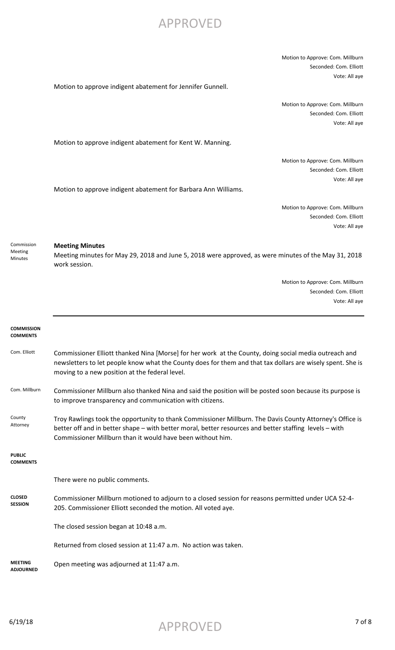## APPROVED

Motion to Approve: Com. Millburn Seconded: Com. Elliott Vote: All aye

Motion to approve indigent abatement for Jennifer Gunnell.

Motion to Approve: Com. Millburn Seconded: Com. Elliott Vote: All aye

Motion to approve indigent abatement for Kent W. Manning.

Motion to Approve: Com. Millburn Seconded: Com. Elliott Vote: All aye

Motion to approve indigent abatement for Barbara Ann Williams.

Motion to Approve: Com. Millburn Seconded: Com. Elliott Vote: All aye

Commission Meeting Minutes

**Meeting Minutes**

Meeting minutes for May 29, 2018 and June 5, 2018 were approved, as were minutes of the May 31, 2018 work session.

| <b>COMMISSION</b><br><b>COMMENTS</b> |                                                                                                                                                                                                                                                                                  |
|--------------------------------------|----------------------------------------------------------------------------------------------------------------------------------------------------------------------------------------------------------------------------------------------------------------------------------|
| Com. Elliott                         | Commissioner Elliott thanked Nina [Morse] for her work at the County, doing social media outreach and<br>newsletters to let people know what the County does for them and that tax dollars are wisely spent. She is<br>moving to a new position at the federal level.            |
| Com. Millburn                        | Commissioner Millburn also thanked Nina and said the position will be posted soon because its purpose is<br>to improve transparency and communication with citizens.                                                                                                             |
| County<br>Attorney                   | Troy Rawlings took the opportunity to thank Commissioner Millburn. The Davis County Attorney's Office is<br>better off and in better shape – with better moral, better resources and better staffing levels – with<br>Commissioner Millburn than it would have been without him. |
| <b>PUBLIC</b><br><b>COMMENTS</b>     |                                                                                                                                                                                                                                                                                  |
|                                      | There were no public comments.                                                                                                                                                                                                                                                   |
| <b>CLOSED</b><br><b>SESSION</b>      | Commissioner Millburn motioned to adjourn to a closed session for reasons permitted under UCA 52-4-<br>205. Commissioner Elliott seconded the motion. All voted aye.                                                                                                             |
|                                      | The closed session began at 10:48 a.m.                                                                                                                                                                                                                                           |
|                                      | Returned from closed session at 11:47 a.m. No action was taken.                                                                                                                                                                                                                  |
| <b>MEETING</b><br><b>ADJOURNED</b>   | Open meeting was adjourned at 11:47 a.m.                                                                                                                                                                                                                                         |